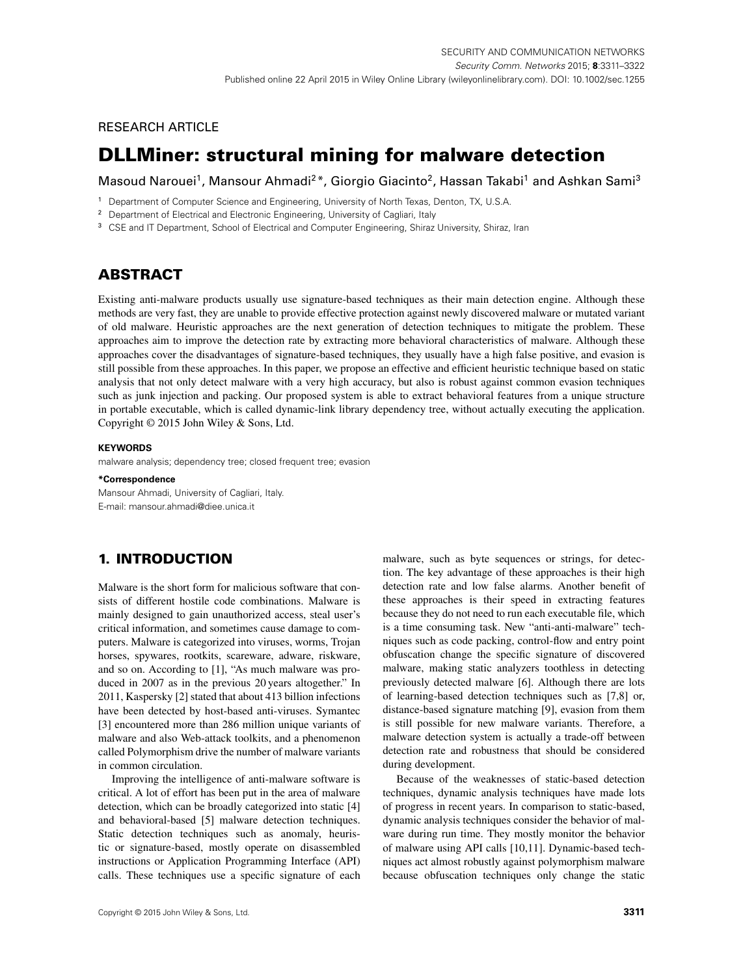# <span id="page-0-0"></span>**RESEARCH ARTICLE**

# **DLLMiner: structural mining for malware detection**

Masoud Narouei<sup>1</sup>, Mansour Ahmadi<sup>2\*</sup>, Giorgio Giacinto<sup>2</sup>, Hassan Takabi<sup>1</sup> and Ashkan Sami<sup>3</sup>

- <sup>1</sup> Department of Computer Science and Engineering, University of North Texas, Denton, TX, U.S.A.
- <sup>2</sup> Department of Electrical and Electronic Engineering, University of Cagliari, Italy
- <sup>3</sup> CSE and IT Department, School of Electrical and Computer Engineering, Shiraz University, Shiraz, Iran

# **ABSTRACT**

Existing anti-malware products usually use signature-based techniques as their main detection engine. Although these methods are very fast, they are unable to provide effective protection against newly discovered malware or mutated variant of old malware. Heuristic approaches are the next generation of detection techniques to mitigate the problem. These approaches aim to improve the detection rate by extracting more behavioral characteristics of malware. Although these approaches cover the disadvantages of signature-based techniques, they usually have a high false positive, and evasion is still possible from these approaches. In this paper, we propose an effective and efficient heuristic technique based on static analysis that not only detect malware with a very high accuracy, but also is robust against common evasion techniques such as junk injection and packing. Our proposed system is able to extract behavioral features from a unique structure in portable executable, which is called dynamic-link library dependency tree, without actually executing the application. Copyright © 2015 John Wiley & Sons, Ltd.

#### **KEYWORDS**

malware analysis; dependency tree; closed frequent tree; evasion

### **\*Correspondence**

Mansour Ahmadi, University of Cagliari, Italy. E-mail: mansour.ahmadi@diee.unica.it

# **1. INTRODUCTION**

Malware is the short form for malicious software that consists of different hostile code combinations. Malware is mainly designed to gain unauthorized access, steal user's critical information, and sometimes cause damage to computers. Malware is categorized into viruses, worms, Trojan horses, spywares, rootkits, scareware, adware, riskware, and so on. According to [\[1\]](#page-9-0), "As much malware was produced in 2007 as in the previous 20 years altogether." In 2011, Kaspersky [\[2\]](#page-9-1) stated that about 413 billion infections have been detected by host-based anti-viruses. Symantec [\[3\]](#page-9-2) encountered more than 286 million unique variants of malware and also Web-attack toolkits, and a phenomenon called Polymorphism drive the number of malware variants in common circulation.

Improving the intelligence of anti-malware software is critical. A lot of effort has been put in the area of malware detection, which can be broadly categorized into static [\[4\]](#page-9-3) and behavioral-based [\[5\]](#page-9-4) malware detection techniques. Static detection techniques such as anomaly, heuristic or signature-based, mostly operate on disassembled instructions or Application Programming Interface (API) calls. These techniques use a specific signature of each malware, such as byte sequences or strings, for detection. The key advantage of these approaches is their high detection rate and low false alarms. Another benefit of these approaches is their speed in extracting features because they do not need to run each executable file, which is a time consuming task. New "anti-anti-malware" techniques such as code packing, control-flow and entry point obfuscation change the specific signature of discovered malware, making static analyzers toothless in detecting previously detected malware [\[6\]](#page-9-5). Although there are lots of learning-based detection techniques such as [\[7](#page-9-6)[,8\]](#page-9-7) or, distance-based signature matching [\[9\]](#page-9-8), evasion from them is still possible for new malware variants. Therefore, a malware detection system is actually a trade-off between detection rate and robustness that should be considered during development.

Because of the weaknesses of static-based detection techniques, dynamic analysis techniques have made lots of progress in recent years. In comparison to static-based, dynamic analysis techniques consider the behavior of malware during run time. They mostly monitor the behavior of malware using API calls [\[10,](#page-9-9)[11\]](#page-9-10). Dynamic-based techniques act almost robustly against polymorphism malware because obfuscation techniques only change the static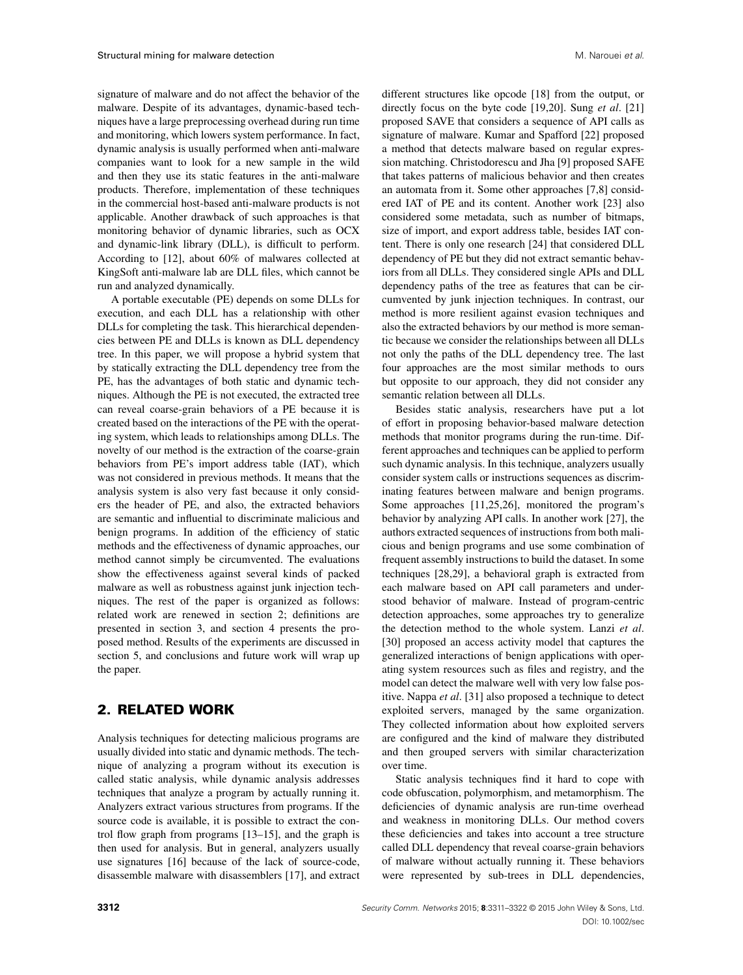signature of malware and do not affect the behavior of the malware. Despite of its advantages, dynamic-based techniques have a large preprocessing overhead during run time and monitoring, which lowers system performance. In fact, dynamic analysis is usually performed when anti-malware companies want to look for a new sample in the wild and then they use its static features in the anti-malware products. Therefore, implementation of these techniques in the commercial host-based anti-malware products is not applicable. Another drawback of such approaches is that monitoring behavior of dynamic libraries, such as OCX and dynamic-link library (DLL), is difficult to perform. According to [\[12\]](#page-9-11), about 60% of malwares collected at KingSoft anti-malware lab are DLL files, which cannot be run and analyzed dynamically.

A portable executable (PE) depends on some DLLs for execution, and each DLL has a relationship with other DLLs for completing the task. This hierarchical dependencies between PE and DLLs is known as DLL dependency tree. In this paper, we will propose a hybrid system that by statically extracting the DLL dependency tree from the PE, has the advantages of both static and dynamic techniques. Although the PE is not executed, the extracted tree can reveal coarse-grain behaviors of a PE because it is created based on the interactions of the PE with the operating system, which leads to relationships among DLLs. The novelty of our method is the extraction of the coarse-grain behaviors from PE's import address table (IAT), which was not considered in previous methods. It means that the analysis system is also very fast because it only considers the header of PE, and also, the extracted behaviors are semantic and influential to discriminate malicious and benign programs. In addition of the efficiency of static methods and the effectiveness of dynamic approaches, our method cannot simply be circumvented. The evaluations show the effectiveness against several kinds of packed malware as well as robustness against junk injection techniques. The rest of the paper is organized as follows: related work are renewed in section [2;](#page-1-0) definitions are presented in section [3,](#page-2-0) and section [4](#page-3-0) presents the proposed method. Results of the experiments are discussed in section [5,](#page-5-0) and conclusions and future work will wrap up the paper.

### <span id="page-1-0"></span>**2. RELATED WORK**

Analysis techniques for detecting malicious programs are usually divided into static and dynamic methods. The technique of analyzing a program without its execution is called static analysis, while dynamic analysis addresses techniques that analyze a program by actually running it. Analyzers extract various structures from programs. If the source code is available, it is possible to extract the control flow graph from programs [\[13](#page-9-12)[–15\]](#page-9-13), and the graph is then used for analysis. But in general, analyzers usually use signatures [\[16\]](#page-9-14) because of the lack of source-code, disassemble malware with disassemblers [\[17\]](#page-9-15), and extract different structures like opcode [\[18\]](#page-9-16) from the output, or directly focus on the byte code [\[19,](#page-9-17)[20\]](#page-10-0). Sung *et al*. [\[21\]](#page-10-1) proposed SAVE that considers a sequence of API calls as signature of malware. Kumar and Spafford [\[22\]](#page-10-2) proposed a method that detects malware based on regular expression matching. Christodorescu and Jha [\[9\]](#page-9-8) proposed SAFE that takes patterns of malicious behavior and then creates an automata from it. Some other approaches [\[7,](#page-9-6)[8\]](#page-9-7) considered IAT of PE and its content. Another work [\[23\]](#page-10-3) also considered some metadata, such as number of bitmaps, size of import, and export address table, besides IAT content. There is only one research [\[24\]](#page-10-4) that considered DLL dependency of PE but they did not extract semantic behaviors from all DLLs. They considered single APIs and DLL dependency paths of the tree as features that can be circumvented by junk injection techniques. In contrast, our method is more resilient against evasion techniques and also the extracted behaviors by our method is more semantic because we consider the relationships between all DLLs not only the paths of the DLL dependency tree. The last four approaches are the most similar methods to ours but opposite to our approach, they did not consider any semantic relation between all DLLs.

Besides static analysis, researchers have put a lot of effort in proposing behavior-based malware detection methods that monitor programs during the run-time. Different approaches and techniques can be applied to perform such dynamic analysis. In this technique, analyzers usually consider system calls or instructions sequences as discriminating features between malware and benign programs. Some approaches [\[11,](#page-9-10)[25,](#page-10-5)[26\]](#page-10-6), monitored the program's behavior by analyzing API calls. In another work [\[27\]](#page-10-7), the authors extracted sequences of instructions from both malicious and benign programs and use some combination of frequent assembly instructions to build the dataset. In some techniques [\[28,](#page-10-8)[29\]](#page-10-9), a behavioral graph is extracted from each malware based on API call parameters and understood behavior of malware. Instead of program-centric detection approaches, some approaches try to generalize the detection method to the whole system. Lanzi *et al*. [\[30\]](#page-10-10) proposed an access activity model that captures the generalized interactions of benign applications with operating system resources such as files and registry, and the model can detect the malware well with very low false positive. Nappa *et al*. [\[31\]](#page-10-11) also proposed a technique to detect exploited servers, managed by the same organization. They collected information about how exploited servers are configured and the kind of malware they distributed and then grouped servers with similar characterization over time.

Static analysis techniques find it hard to cope with code obfuscation, polymorphism, and metamorphism. The deficiencies of dynamic analysis are run-time overhead and weakness in monitoring DLLs. Our method covers these deficiencies and takes into account a tree structure called DLL dependency that reveal coarse-grain behaviors of malware without actually running it. These behaviors were represented by sub-trees in DLL dependencies,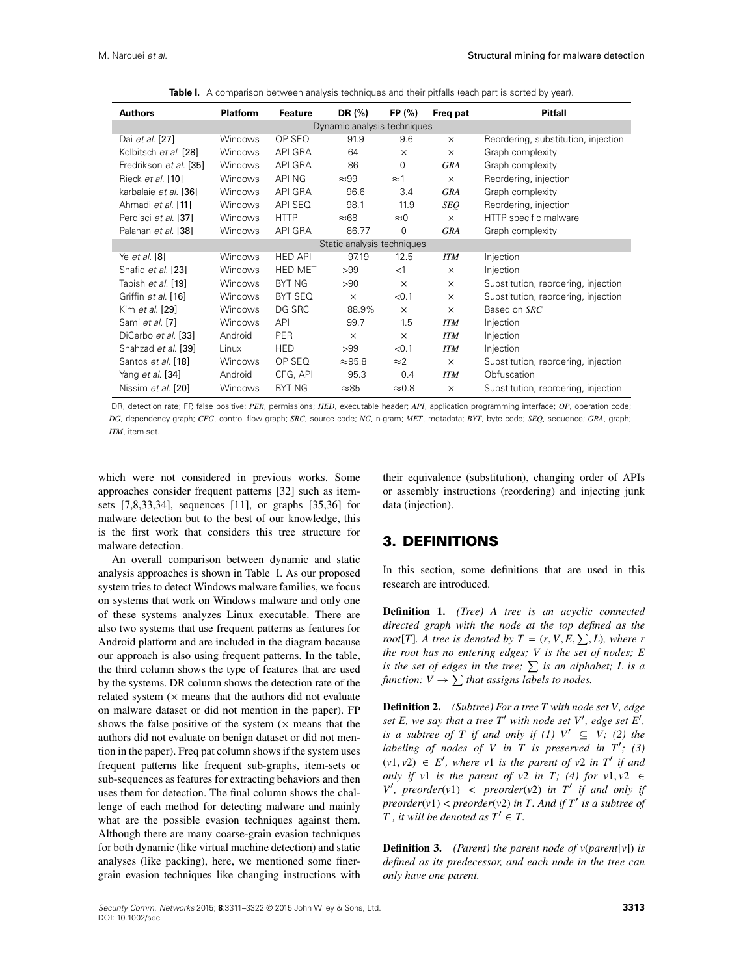| <b>Authors</b>              | <b>Platform</b> | <b>Feature</b> | DR (%)                     | FP(%)         | Freq pat   | <b>Pitfall</b>                      |  |  |  |
|-----------------------------|-----------------|----------------|----------------------------|---------------|------------|-------------------------------------|--|--|--|
| Dynamic analysis techniques |                 |                |                            |               |            |                                     |  |  |  |
| Dai et al. [27]             | <b>Windows</b>  | OP SEQ         | 91.9                       | 9.6           | $\times$   | Reordering, substitution, injection |  |  |  |
| Kolbitsch et al. [28]       | <b>Windows</b>  | <b>API GRA</b> | 64                         | $\times$      | $\times$   | Graph complexity                    |  |  |  |
| Fredrikson et al. [35]      | <b>Windows</b>  | API GRA        | 86                         | 0             | <b>GRA</b> | Graph complexity                    |  |  |  |
| Rieck et al. [10]           | <b>Windows</b>  | API NG         | $\approx$ 99               | $\approx$ 1   | $\times$   | Reordering, injection               |  |  |  |
| karbalaie et al. [36]       | <b>Windows</b>  | API GRA        | 96.6                       | 3.4           | <b>GRA</b> | Graph complexity                    |  |  |  |
| Ahmadi et al. [11]          | <b>Windows</b>  | API SEQ        | 98.1                       | 11.9          | SEQ        | Reordering, injection               |  |  |  |
| Perdisci et al. [37]        | <b>Windows</b>  | <b>HTTP</b>    | $\approx 68$               | $\approx$ 0   | $\times$   | HTTP specific malware               |  |  |  |
| Palahan et al. [38]         | Windows         | API GRA        | 86.77                      | 0             | GRA        | Graph complexity                    |  |  |  |
|                             |                 |                | Static analysis techniques |               |            |                                     |  |  |  |
| Ye et al. [8]               | <b>Windows</b>  | <b>HED API</b> | 97.19                      | 12.5          | <b>ITM</b> | Injection                           |  |  |  |
| Shafiq et al. [23]          | <b>Windows</b>  | <b>HED MET</b> | >99                        | <1            | $\times$   | Injection                           |  |  |  |
| Tabish et al. [19]          | <b>Windows</b>  | <b>BYT NG</b>  | >90                        | $\times$      | $\times$   | Substitution, reordering, injection |  |  |  |
| Griffin et al. [16]         | Windows         | BYT SEQ        | $\times$                   | < 0.1         | $\times$   | Substitution, reordering, injection |  |  |  |
| Kim et al. [29]             | <b>Windows</b>  | DG SRC         | 88.9%                      | $\times$      | $\times$   | Based on SRC                        |  |  |  |
| Sami et al. [7]             | <b>Windows</b>  | <b>API</b>     | 99.7                       | 1.5           | <b>ITM</b> | Injection                           |  |  |  |
| DiCerbo et al. [33]         | Android         | <b>PER</b>     | $\times$                   | $\times$      | <b>ITM</b> | Injection                           |  |  |  |
| Shahzad et al. [39]         | Linux           | <b>HED</b>     | >99                        | < 0.1         | <b>ITM</b> | Injection                           |  |  |  |
| Santos et al. [18]          | <b>Windows</b>  | OP SEQ         | $\approx$ 95.8             | $\approx$ 2   | $\times$   | Substitution, reordering, injection |  |  |  |
| Yang et al. [34]            | Android         | CFG, API       | 95.3                       | 0.4           | <b>ITM</b> | Obfuscation                         |  |  |  |
| Nissim <i>et al.</i> [20]   | Windows         | <b>BYT NG</b>  | $\approx 85$               | $\approx 0.8$ | $\times$   | Substitution, reordering, injection |  |  |  |

<span id="page-2-1"></span>**Table I.** A comparison between analysis techniques and their pitfalls (each part is sorted by year).

DR, detection rate; FP, false positive; *PER*, permissions; *HED*, executable header; *API*, application programming interface; *OP*, operation code; *DG*, dependency graph; *CFG*, control flow graph; *SRC*, source code; *NG*, n-gram; *MET*, metadata; *BYT*, byte code; *SEQ*, sequence; *GRA*, graph; *ITM*, item-set.

which were not considered in previous works. Some approaches consider frequent patterns [\[32\]](#page-10-19) such as itemsets [\[7](#page-9-6)[,8](#page-9-7)[,33](#page-10-16)[,34\]](#page-10-18), sequences [\[11\]](#page-9-10), or graphs [\[35,](#page-10-12)[36\]](#page-10-13) for malware detection but to the best of our knowledge, this is the first work that considers this tree structure for malware detection.

An overall comparison between dynamic and static analysis approaches is shown in Table [I.](#page-2-1) As our proposed system tries to detect Windows malware families, we focus on systems that work on Windows malware and only one of these systems analyzes Linux executable. There are also two systems that use frequent patterns as features for Android platform and are included in the diagram because our approach is also using frequent patterns. In the table, the third column shows the type of features that are used by the systems. DR column shows the detection rate of the related system  $(x$  means that the authors did not evaluate on malware dataset or did not mention in the paper). FP shows the false positive of the system  $(x)$  means that the authors did not evaluate on benign dataset or did not mention in the paper). Freq pat column shows if the system uses frequent patterns like frequent sub-graphs, item-sets or sub-sequences as features for extracting behaviors and then uses them for detection. The final column shows the challenge of each method for detecting malware and mainly what are the possible evasion techniques against them. Although there are many coarse-grain evasion techniques for both dynamic (like virtual machine detection) and static analyses (like packing), here, we mentioned some finergrain evasion techniques like changing instructions with their equivalence (substitution), changing order of APIs or assembly instructions (reordering) and injecting junk data (injection).

### <span id="page-2-0"></span>**3. DEFINITIONS**

In this section, some definitions that are used in this research are introduced.

**Definition 1.** *(Tree) A tree is an acyclic connected directed graph with the node at the top defined as the root*[*T*]*. A tree is denoted by*  $T = (r, V, E, \sum, L)$ *, where r the root has no entering edges; V is the set of nodes; E is the set of edges in the tree;*  $\sum$  *is an alphabet; L is a function:*  $V \rightarrow \sum$  *that assigns labels to nodes.* 

**Definition 2.** *(Subtree) For a tree T with node set V, edge set E, we say that a tree T' with node set V', edge set E', is a subtree of T if and only if (1)*  $V' \subseteq V$ ; (2) the *labeling of nodes of V in T is preserved in*  $T'$ *; (3)*  $(v1, v2) \in E'$ , where v1 is the parent of v2 in T' if and *only if v1 is the parent of v2 in T; (4) for v1, v2*  $\in$  $V'$ , preorder(*v*1) < preorder(*v*2) *in*  $T'$  *if and only if preorder*( $v1$ ) < *preorder*( $v2$ ) *in T. And if*  $T'$  *is a subtree of T*, *it will be denoted as*  $T' \in T$ .

**Definition 3.** *(Parent) the parent node of v*(*parent*[*v*]) *is defined as its predecessor, and each node in the tree can only have one parent.*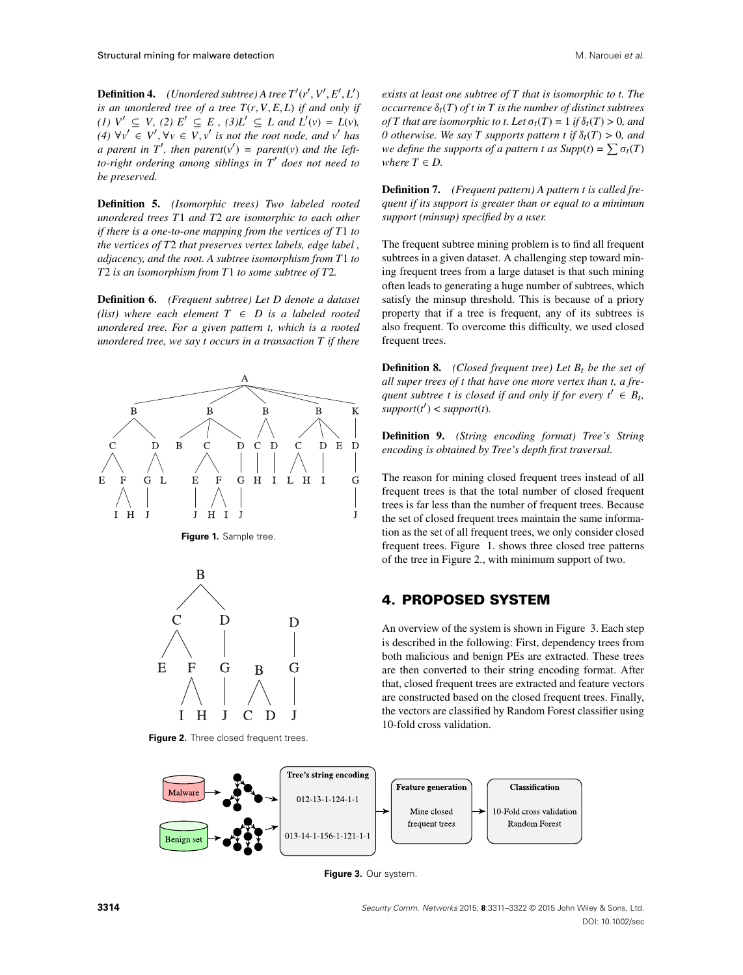**Definition 4.** *(Unordered subtree)* A tree  $T'(r', V', E', L')$ *is an unordered tree of a tree*  $T(r, V, E, L)$  *if and only if (1)*  $V' \subseteq V$ , *(2)*  $E' \subseteq E$ , *(3)* $L' \subseteq L$  *and*  $L'(v) = L(v)$ *,*  $(4)$   $\forall v' \in V', \forall v \in V, v'$  *is not the root node, and v*<sup>*l*</sup> *has a* parent in  $T'$ , then parent $(v') = parent(v)$  and the left*to-right ordering among siblings in T*<sup>0</sup> *does not need to be preserved.*

**Definition 5.** *(Isomorphic trees) Two labeled rooted unordered trees T*1 *and T*2 *are isomorphic to each other if there is a one-to-one mapping from the vertices of T*1 *to the vertices of T*2 *that preserves vertex labels, edge label , adjacency, and the root. A subtree isomorphism from T*1 *to T*2 *is an isomorphism from T*1 *to some subtree of T*2*.*

**Definition 6.** *(Frequent subtree) Let D denote a dataset (list)* where each element  $T \in D$  is a labeled rooted *unordered tree. For a given pattern t, which is a rooted unordered tree, we say t occurs in a transaction T if there*



<span id="page-3-1"></span>



<span id="page-3-2"></span>**Figure 2.** Three closed frequent trees.

*exists at least one subtree of T that is isomorphic to t. The occurrence*  $\delta_t(T)$  *of t in* T *is the number of distinct subtrees of T* that are isomorphic to t. Let  $\sigma_t(T) = 1$  if  $\delta_t(T) > 0$ , and *0 otherwise. We say T supports pattern t if*  $\delta_t(T) > 0$ *, and we define the supports of a pattern t as*  $Supp(t) = \sum \sigma_t(T)$ *where*  $T \in D$ .

**Definition 7.** *(Frequent pattern) A pattern t is called frequent if its support is greater than or equal to a minimum support (minsup) specified by a user.*

The frequent subtree mining problem is to find all frequent subtrees in a given dataset. A challenging step toward mining frequent trees from a large dataset is that such mining often leads to generating a huge number of subtrees, which satisfy the minsup threshold. This is because of a priory property that if a tree is frequent, any of its subtrees is also frequent. To overcome this difficulty, we used closed frequent trees.

**Definition 8.** *(Closed frequent tree) Let*  $B_t$  *be the set of all super trees of t that have one more vertex than t, a frequent subtree t is closed if and only if for every*  $t' \in B_t$ *,*  $support(t') < support(t)$ .

**Definition 9.** *(String encoding format) Tree's String encoding is obtained by Tree's depth first traversal.*

The reason for mining closed frequent trees instead of all frequent trees is that the total number of closed frequent trees is far less than the number of frequent trees. Because the set of closed frequent trees maintain the same information as the set of all frequent trees, we only consider closed frequent trees. Figure [1.](#page-3-1) shows three closed tree patterns of the tree in Figure [2.](#page-3-2), with minimum support of two.

### <span id="page-3-0"></span>**4. PROPOSED SYSTEM**

An overview of the system is shown in Figure [3.](#page-3-3) Each step is described in the following: First, dependency trees from both malicious and benign PEs are extracted. These trees are then converted to their string encoding format. After that, closed frequent trees are extracted and feature vectors are constructed based on the closed frequent trees. Finally, the vectors are classified by Random Forest classifier using 10-fold cross validation.



<span id="page-3-3"></span>**Figure 3.** Our system.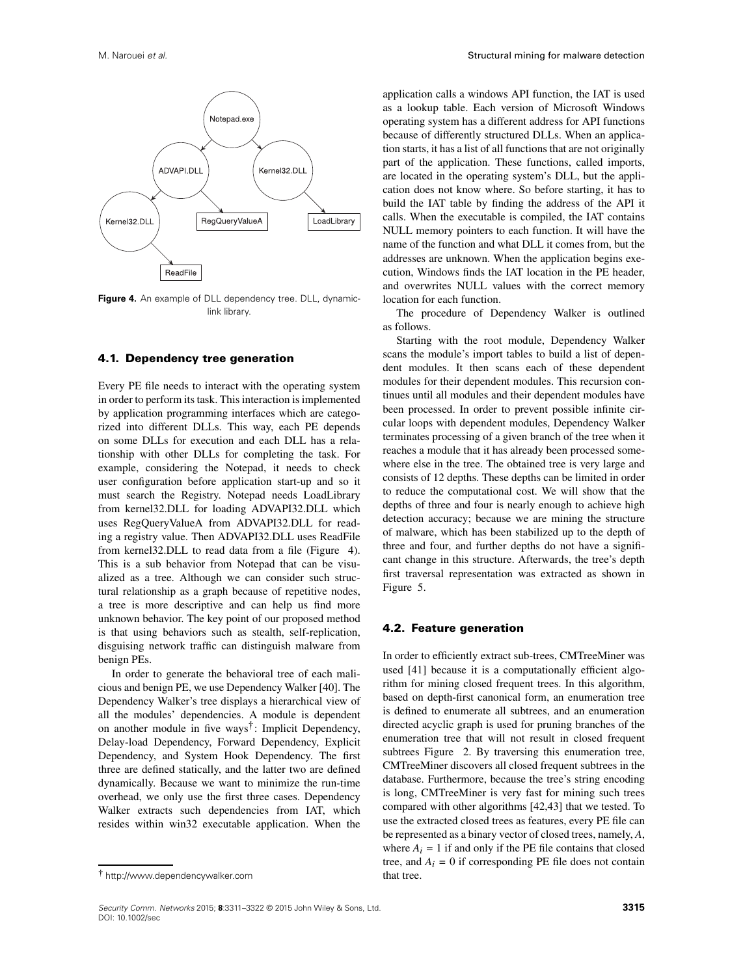

<span id="page-4-0"></span>Figure 4. An example of DLL dependency tree. DLL, dynamiclink library.

#### **4.1. Dependency tree generation**

Every PE file needs to interact with the operating system in order to perform its task. This interaction is implemented by application programming interfaces which are categorized into different DLLs. This way, each PE depends on some DLLs for execution and each DLL has a relationship with other DLLs for completing the task. For example, considering the Notepad, it needs to check user configuration before application start-up and so it must search the Registry. Notepad needs LoadLibrary from kernel32.DLL for loading ADVAPI32.DLL which uses RegQueryValueA from ADVAPI32.DLL for reading a registry value. Then ADVAPI32.DLL uses ReadFile from kernel32.DLL to read data from a file (Figure [4\)](#page-4-0). This is a sub behavior from Notepad that can be visualized as a tree. Although we can consider such structural relationship as a graph because of repetitive nodes, a tree is more descriptive and can help us find more unknown behavior. The key point of our proposed method is that using behaviors such as stealth, self-replication, disguising network traffic can distinguish malware from benign PEs.

In order to generate the behavioral tree of each malicious and benign PE, we use Dependency Walker [\[40\]](#page-10-20). The Dependency Walker's tree displays a hierarchical view of all the modules' dependencies. A module is dependent on another module in five ways<sup>†</sup>: Implicit Dependency, Delay-load Dependency, Forward Dependency, Explicit Dependency, and System Hook Dependency. The first three are defined statically, and the latter two are defined dynamically. Because we want to minimize the run-time overhead, we only use the first three cases. Dependency Walker extracts such dependencies from IAT, which resides within win32 executable application. When the

application calls a windows API function, the IAT is used as a lookup table. Each version of Microsoft Windows operating system has a different address for API functions because of differently structured DLLs. When an application starts, it has a list of all functions that are not originally part of the application. These functions, called imports, are located in the operating system's DLL, but the application does not know where. So before starting, it has to build the IAT table by finding the address of the API it calls. When the executable is compiled, the IAT contains NULL memory pointers to each function. It will have the name of the function and what DLL it comes from, but the addresses are unknown. When the application begins execution, Windows finds the IAT location in the PE header, and overwrites NULL values with the correct memory location for each function.

The procedure of Dependency Walker is outlined as follows.

Starting with the root module, Dependency Walker scans the module's import tables to build a list of dependent modules. It then scans each of these dependent modules for their dependent modules. This recursion continues until all modules and their dependent modules have been processed. In order to prevent possible infinite circular loops with dependent modules, Dependency Walker terminates processing of a given branch of the tree when it reaches a module that it has already been processed somewhere else in the tree. The obtained tree is very large and consists of 12 depths. These depths can be limited in order to reduce the computational cost. We will show that the depths of three and four is nearly enough to achieve high detection accuracy; because we are mining the structure of malware, which has been stabilized up to the depth of three and four, and further depths do not have a significant change in this structure. Afterwards, the tree's depth first traversal representation was extracted as shown in Figure [5.](#page-5-1)

#### **4.2. Feature generation**

In order to efficiently extract sub-trees, CMTreeMiner was used [\[41\]](#page-10-21) because it is a computationally efficient algorithm for mining closed frequent trees. In this algorithm, based on depth-first canonical form, an enumeration tree is defined to enumerate all subtrees, and an enumeration directed acyclic graph is used for pruning branches of the enumeration tree that will not result in closed frequent subtrees Figure [2.](#page-3-2) By traversing this enumeration tree, CMTreeMiner discovers all closed frequent subtrees in the database. Furthermore, because the tree's string encoding is long, CMTreeMiner is very fast for mining such trees compared with other algorithms [\[42,](#page-11-1)[43\]](#page-11-2) that we tested. To use the extracted closed trees as features, every PE file can be represented as a binary vector of closed trees, namely, *A*, where  $A_i = 1$  if and only if the PE file contains that closed tree, and  $A_i = 0$  if corresponding PE file does not contain that tree.

<span id="page-4-1"></span><sup>-</sup> <http://www.dependencywalker.com>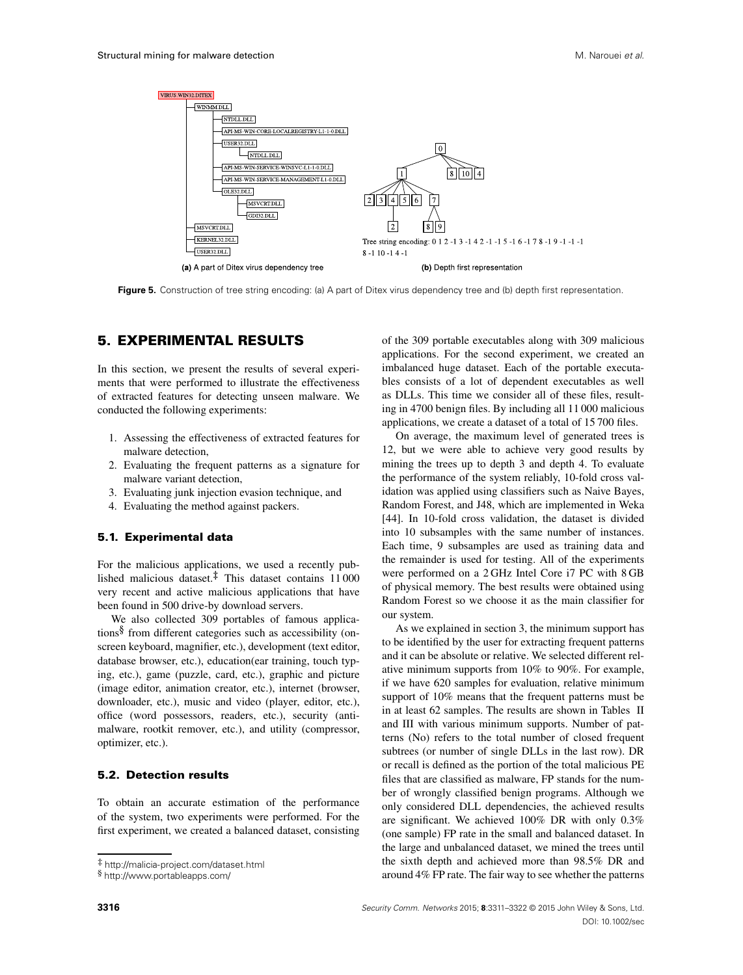

<span id="page-5-1"></span>**Figure 5.** Construction of tree string encoding: (a) A part of Ditex virus dependency tree and (b) depth first representation.

### <span id="page-5-0"></span>**5. EXPERIMENTAL RESULTS**

In this section, we present the results of several experiments that were performed to illustrate the effectiveness of extracted features for detecting unseen malware. We conducted the following experiments:

- 1. Assessing the effectiveness of extracted features for malware detection,
- 2. Evaluating the frequent patterns as a signature for malware variant detection,
- 3. Evaluating junk injection evasion technique, and
- 4. Evaluating the method against packers.

### **5.1. Experimental data**

For the malicious applications, we used a recently published malicious dataset.<sup>‡</sup> This dataset contains 11000 very recent and active malicious applications that have been found in 500 drive-by download servers.

We also collected 309 portables of famous applications $\delta$  from different categories such as accessibility (onscreen keyboard, magnifier, etc.), development (text editor, database browser, etc.), education(ear training, touch typing, etc.), game (puzzle, card, etc.), graphic and picture (image editor, animation creator, etc.), internet (browser, downloader, etc.), music and video (player, editor, etc.), office (word possessors, readers, etc.), security (antimalware, rootkit remover, etc.), and utility (compressor, optimizer, etc.).

### **5.2. Detection results**

To obtain an accurate estimation of the performance of the system, two experiments were performed. For the first experiment, we created a balanced dataset, consisting of the 309 portable executables along with 309 malicious applications. For the second experiment, we created an imbalanced huge dataset. Each of the portable executables consists of a lot of dependent executables as well as DLLs. This time we consider all of these files, resulting in 4700 benign files. By including all 11 000 malicious applications, we create a dataset of a total of 15 700 files.

On average, the maximum level of generated trees is 12, but we were able to achieve very good results by mining the trees up to depth 3 and depth 4. To evaluate the performance of the system reliably, 10-fold cross validation was applied using classifiers such as Naive Bayes, Random Forest, and J48, which are implemented in Weka [\[44\]](#page-11-3). In 10-fold cross validation, the dataset is divided into 10 subsamples with the same number of instances. Each time, 9 subsamples are used as training data and the remainder is used for testing. All of the experiments were performed on a 2 GHz Intel Core i7 PC with 8 GB of physical memory. The best results were obtained using Random Forest so we choose it as the main classifier for our system.

As we explained in section [3,](#page-2-0) the minimum support has to be identified by the user for extracting frequent patterns and it can be absolute or relative. We selected different relative minimum supports from 10% to 90%. For example, if we have 620 samples for evaluation, relative minimum support of 10% means that the frequent patterns must be in at least 62 samples. The results are shown in Tables [II](#page-6-0) and [III](#page-6-1) with various minimum supports. Number of patterns (No) refers to the total number of closed frequent subtrees (or number of single DLLs in the last row). DR or recall is defined as the portion of the total malicious PE files that are classified as malware, FP stands for the number of wrongly classified benign programs. Although we only considered DLL dependencies, the achieved results are significant. We achieved 100% DR with only 0.3% (one sample) FP rate in the small and balanced dataset. In the large and unbalanced dataset, we mined the trees until the sixth depth and achieved more than 98.5% DR and around 4% FP rate. The fair way to see whether the patterns

<http://malicia-project.com/dataset.html>

<span id="page-5-3"></span><span id="page-5-2"></span><http://www.portableapps.com/>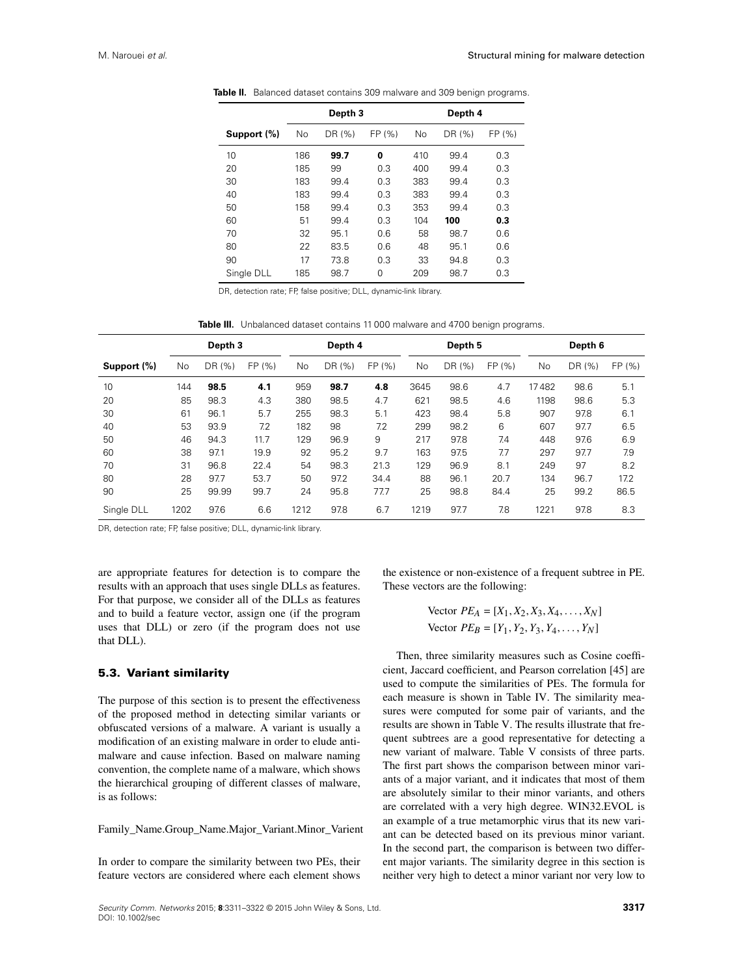<span id="page-6-0"></span>

|             |           | Depth 3 |          | Depth 4 |        |        |  |
|-------------|-----------|---------|----------|---------|--------|--------|--|
| Support (%) | <b>No</b> | DR (%)  | FP (%)   | No      | DR (%) | FP (%) |  |
| 10          | 186       | 99.7    | 0        | 410     | 99.4   | 0.3    |  |
| 20          | 185       | 99      | 0.3      | 400     | 99.4   | 0.3    |  |
| 30          | 183       | 99.4    | 0.3      | 383     | 99.4   | 0.3    |  |
| 40          | 183       | 99.4    | 0.3      | 383     | 99.4   | 0.3    |  |
| 50          | 158       | 99.4    | 0.3      | 353     | 99.4   | 0.3    |  |
| 60          | 51        | 99.4    | 0.3      | 104     | 100    | 0.3    |  |
| 70          | 32        | 95.1    | 0.6      | 58      | 98.7   | 0.6    |  |
| 80          | 22        | 83.5    | 0.6      | 48      | 95.1   | 0.6    |  |
| 90          | 17        | 73.8    | 0.3      | 33      | 94.8   | 0.3    |  |
| Single DLL  | 185       | 98.7    | $\Omega$ | 209     | 98.7   | 0.3    |  |
|             |           |         |          |         |        |        |  |

**Table II.** Balanced dataset contains 309 malware and 309 benign programs.

DR, detection rate; FP, false positive; DLL, dynamic-link library.

<span id="page-6-1"></span>Table III. Unbalanced dataset contains 11 000 malware and 4700 benign programs.

|                | Depth <sub>3</sub> |        | Depth 4 |           | Depth 5 |        |      | Depth 6 |        |       |        |        |
|----------------|--------------------|--------|---------|-----------|---------|--------|------|---------|--------|-------|--------|--------|
| Support $(\%)$ | <b>No</b>          | DR (%) | FP (%)  | <b>No</b> | DR (%)  | FP (%) | No.  | DR (%)  | FP (%) | No    | DR (%) | FP (%) |
| 10             | 144                | 98.5   | 4.1     | 959       | 98.7    | 4.8    | 3645 | 98.6    | 4.7    | 17482 | 98.6   | 5.1    |
| 20             | 85                 | 98.3   | 4.3     | 380       | 98.5    | 4.7    | 621  | 98.5    | 4.6    | 1198  | 98.6   | 5.3    |
| 30             | 61                 | 96.1   | 5.7     | 255       | 98.3    | 5.1    | 423  | 98.4    | 5.8    | 907   | 97.8   | 6.1    |
| 40             | 53                 | 93.9   | 7.2     | 182       | 98      | 7.2    | 299  | 98.2    | 6      | 607   | 97.7   | 6.5    |
| 50             | 46                 | 94.3   | 11.7    | 129       | 96.9    | 9      | 217  | 97.8    | 7.4    | 448   | 97.6   | 6.9    |
| 60             | 38                 | 97.1   | 19.9    | 92        | 95.2    | 9.7    | 163  | 97.5    | 7.7    | 297   | 97.7   | 7.9    |
| 70             | 31                 | 96.8   | 22.4    | 54        | 98.3    | 21.3   | 129  | 96.9    | 8.1    | 249   | 97     | 8.2    |
| 80             | 28                 | 97.7   | 53.7    | 50        | 97.2    | 34.4   | 88   | 96.1    | 20.7   | 134   | 96.7   | 17.2   |
| 90             | 25                 | 99.99  | 99.7    | 24        | 95.8    | 77.7   | 25   | 98.8    | 84.4   | 25    | 99.2   | 86.5   |
| Single DLL     | 1202               | 97.6   | 6.6     | 1212      | 97.8    | 6.7    | 1219 | 97.7    | 7.8    | 1221  | 97.8   | 8.3    |

DR, detection rate; FP, false positive; DLL, dynamic-link library.

are appropriate features for detection is to compare the results with an approach that uses single DLLs as features. For that purpose, we consider all of the DLLs as features and to build a feature vector, assign one (if the program uses that DLL) or zero (if the program does not use that DLL).

#### **5.3. Variant similarity**

The purpose of this section is to present the effectiveness of the proposed method in detecting similar variants or obfuscated versions of a malware. A variant is usually a modification of an existing malware in order to elude antimalware and cause infection. Based on malware naming convention, the complete name of a malware, which shows the hierarchical grouping of different classes of malware, is as follows:

Family\_Name.Group\_Name.Major\_Variant.Minor\_Varient

In order to compare the similarity between two PEs, their feature vectors are considered where each element shows the existence or non-existence of a frequent subtree in PE. These vectors are the following:

> $Vector PE_A = [X_1, X_2, X_3, X_4, \ldots, X_N]$  $Vector$   $PE_B = [Y_1, Y_2, Y_3, Y_4, \ldots, Y_N]$

Then, three similarity measures such as Cosine coefficient, Jaccard coefficient, and Pearson correlation [\[45\]](#page-11-4) are used to compute the similarities of PEs. The formula for each measure is shown in Table [IV.](#page-7-0) The similarity measures were computed for some pair of variants, and the results are shown in Table [V.](#page-7-1) The results illustrate that frequent subtrees are a good representative for detecting a new variant of malware. Table [V](#page-7-1) consists of three parts. The first part shows the comparison between minor variants of a major variant, and it indicates that most of them are absolutely similar to their minor variants, and others are correlated with a very high degree. WIN32.EVOL is an example of a true metamorphic virus that its new variant can be detected based on its previous minor variant. In the second part, the comparison is between two different major variants. The similarity degree in this section is neither very high to detect a minor variant nor very low to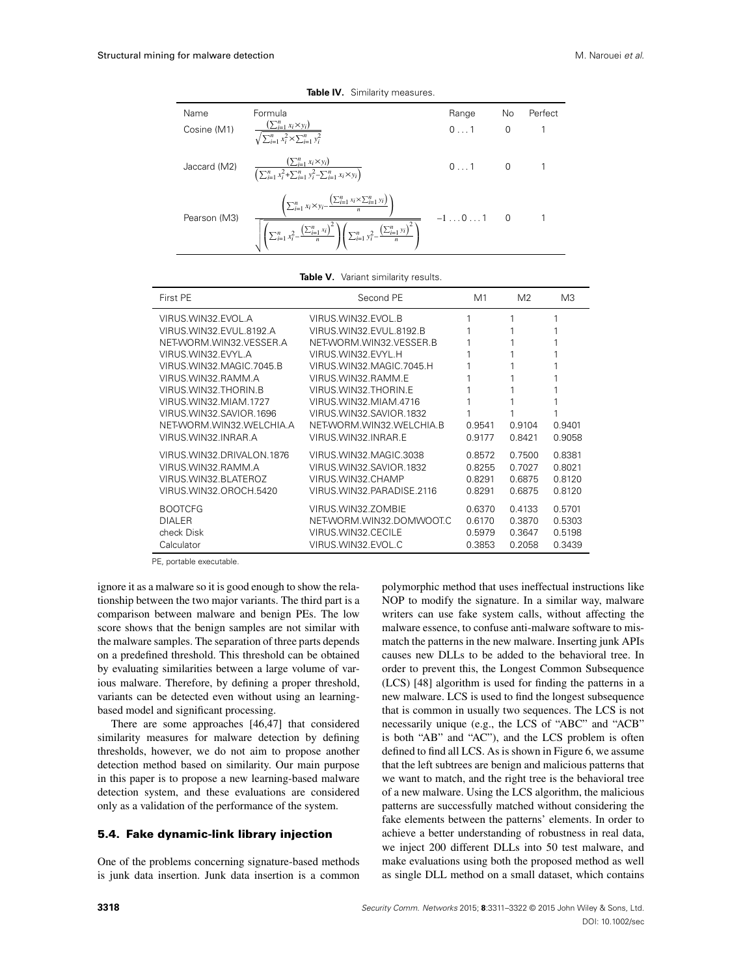| Name<br>Cosine (M1) | Formula<br>$\frac{(\sum_{i=1}^{n} x_i \times y_i)}{\sum_{i=1}^{n} x_i}$<br>$\sqrt{\sum_{i=1}^n x_i^2} \times \sum_{i=1}^n y_i^2$                                                                                                                                                              | Range<br>01  | <b>No</b><br>$\Omega$ | Perfect |
|---------------------|-----------------------------------------------------------------------------------------------------------------------------------------------------------------------------------------------------------------------------------------------------------------------------------------------|--------------|-----------------------|---------|
| Jaccard (M2)        | $\frac{\left(\sum_{i=1}^n x_i \times y_i\right)}{\left(\sum_{i=1}^n x_i^2 + \sum_{i=1}^n y_i^2 - \sum_{i=1}^n x_i \times y_i\right)}$                                                                                                                                                         | $0 \ldots 1$ | $\Omega$              |         |
| Pearson (M3)        | $\left(\sum_{i=1}^n x_i \times y_i - \frac{\left(\sum_{i=1}^n x_i \times \sum_{i=1}^n y_i\right)}{n}\right)$<br>$\left \left(\sum_{i=1}^{n} x_i^2 - \frac{\left(\sum_{i=1}^{n} x_i\right)^2}{n}\right)\left(\sum_{i=1}^{n} y_i^2 - \frac{\left(\sum_{i=1}^{n} y_i\right)^2}{n}\right)\right $ | $-101$       |                       |         |

<span id="page-7-0"></span>**Table IV.** Similarity measures.

<span id="page-7-1"></span>

| First PE                                                                                                                                                                                                                                      | Second PE                                                                                                                                                                                                                            | M1     | M <sub>2</sub> | M <sub>3</sub> |
|-----------------------------------------------------------------------------------------------------------------------------------------------------------------------------------------------------------------------------------------------|--------------------------------------------------------------------------------------------------------------------------------------------------------------------------------------------------------------------------------------|--------|----------------|----------------|
| VIRUS.WIN32.EVOL.A<br>VIRUS. WIN32. EVUL. 8192. A<br>NET-WORM.WIN32.VESSER.A<br>VIRUS WIN32 FVYL A<br>VIRUS. WIN32. MAGIC. 7045. B<br>VIRUS.WIN32.RAMM.A<br>VIRUS. WIN32. THORIN. B<br>VIRUS. WIN32. MIAM. 1727<br>VIRUS. WIN32. SAVIOR. 1696 | VIRUS WIN32 EVOL B<br>VIRUS.WIN32.EVUL.8192.B<br>NET-WORM. WIN32. VESSER. B<br>VIRUS WIN32 FVYL H<br>VIRUS WIN32 MAGIC 7045 H<br>VIRUS.WIN32.RAMM.E<br>VIRUS. WIN32. THORIN. E<br>VIRUS. WIN32. MIAM.4716<br>VIRUS WIN32 SAVIOR 1832 |        |                | 1              |
| NET-WORM.WIN32.WELCHIA.A                                                                                                                                                                                                                      | NET-WORM. WIN32. WELCHIA. B                                                                                                                                                                                                          | 0.9541 | 0.9104         | 0.9401         |
| VIRUS. WIN32. INRAR. A                                                                                                                                                                                                                        | VIRUS.WIN32.INRAR.E                                                                                                                                                                                                                  | 0.9177 | 0.8421         | 0.9058         |
| VIRUS. WIN32. DRIVALON. 1876                                                                                                                                                                                                                  | VIRUS WIN32 MAGIC 3038                                                                                                                                                                                                               | 0.8572 | 0.7500         | 0.8381         |
| VIRUS.WIN32.RAMM.A                                                                                                                                                                                                                            | VIRUS. WIN32. SAVIOR. 1832                                                                                                                                                                                                           | 0.8255 | 0.7027         | 0.8021         |
| VIRUS. WIN32. BLATEROZ                                                                                                                                                                                                                        | VIRUS.WIN32.CHAMP                                                                                                                                                                                                                    | 0.8291 | 0.6875         | 0.8120         |
| VIRUS. WIN32. OROCH. 5420                                                                                                                                                                                                                     | VIRUS WIN32 PARADISE 2116                                                                                                                                                                                                            | 0.8291 | 0.6875         | 0.8120         |
| <b>BOOTCFG</b>                                                                                                                                                                                                                                | VIRUS.WIN32.ZOMBIE                                                                                                                                                                                                                   | 0.6370 | 0.4133         | 0.5701         |
| <b>DIALER</b>                                                                                                                                                                                                                                 | NET-WORM.WIN32.DOMWOOT.C                                                                                                                                                                                                             | 0.6170 | 0.3870         | 0.5303         |
| check Disk                                                                                                                                                                                                                                    | VIRUS. WIN32. CECILE                                                                                                                                                                                                                 | 0.5979 | 0.3647         | 0.5198         |
| Calculator                                                                                                                                                                                                                                    | VIRUS. WIN32. EVOL.C                                                                                                                                                                                                                 | 0.3853 | 0.2058         | 0.3439         |

PE, portable executable.

ignore it as a malware so it is good enough to show the relationship between the two major variants. The third part is a comparison between malware and benign PEs. The low score shows that the benign samples are not similar with the malware samples. The separation of three parts depends on a predefined threshold. This threshold can be obtained by evaluating similarities between a large volume of various malware. Therefore, by defining a proper threshold, variants can be detected even without using an learningbased model and significant processing.

There are some approaches [\[46](#page-11-5)[,47\]](#page-11-6) that considered similarity measures for malware detection by defining thresholds, however, we do not aim to propose another detection method based on similarity. Our main purpose in this paper is to propose a new learning-based malware detection system, and these evaluations are considered only as a validation of the performance of the system.

#### <span id="page-7-2"></span>**5.4. Fake dynamic-link library injection**

One of the problems concerning signature-based methods is junk data insertion. Junk data insertion is a common polymorphic method that uses ineffectual instructions like NOP to modify the signature. In a similar way, malware writers can use fake system calls, without affecting the malware essence, to confuse anti-malware software to mismatch the patterns in the new malware. Inserting junk APIs causes new DLLs to be added to the behavioral tree. In order to prevent this, the Longest Common Subsequence (LCS) [\[48\]](#page-11-7) algorithm is used for finding the patterns in a new malware. LCS is used to find the longest subsequence that is common in usually two sequences. The LCS is not necessarily unique (e.g., the LCS of "ABC" and "ACB" is both "AB" and "AC"), and the LCS problem is often defined to find all LCS. As is shown in Figure [6,](#page-8-0) we assume that the left subtrees are benign and malicious patterns that we want to match, and the right tree is the behavioral tree of a new malware. Using the LCS algorithm, the malicious patterns are successfully matched without considering the fake elements between the patterns' elements. In order to achieve a better understanding of robustness in real data, we inject 200 different DLLs into 50 test malware, and make evaluations using both the proposed method as well as single DLL method on a small dataset, which contains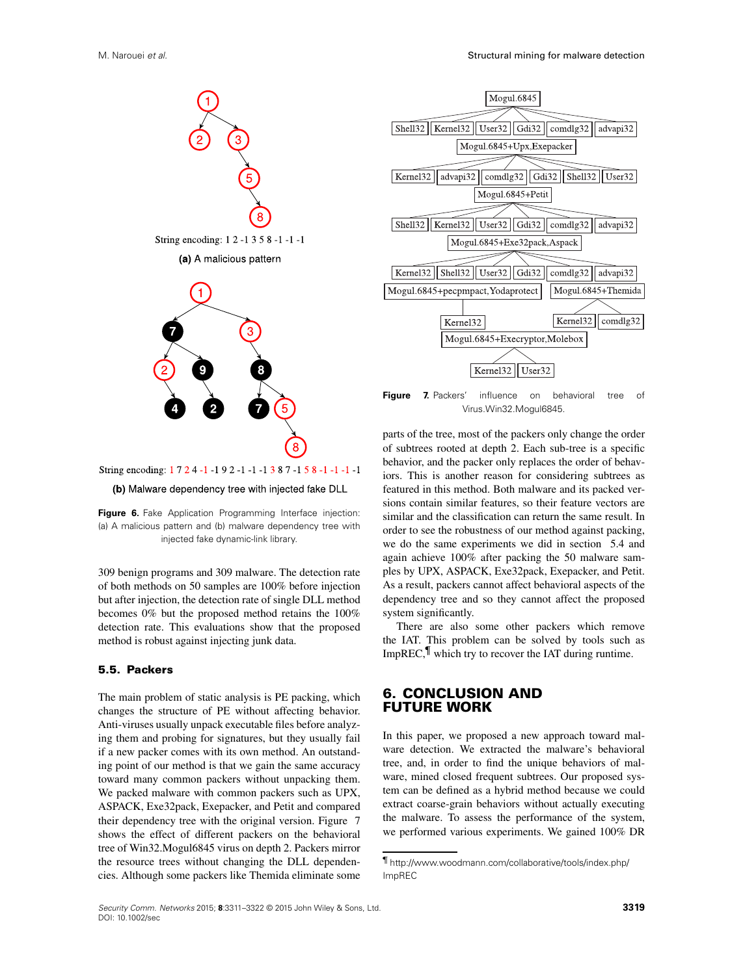

String encoding: 1 7 2 4 -1 -1 9 2 -1 -1 -1 3 8 7 -1 5 8 -1 -1 -1 -1

<span id="page-8-0"></span>(b) Malware dependency tree with injected fake DLL

**Figure 6.** Fake Application Programming Interface injection: (a) A malicious pattern and (b) malware dependency tree with injected fake dynamic-link library.

309 benign programs and 309 malware. The detection rate of both methods on 50 samples are 100% before injection but after injection, the detection rate of single DLL method becomes 0% but the proposed method retains the 100% detection rate. This evaluations show that the proposed method is robust against injecting junk data.

### **5.5. Packers**

The main problem of static analysis is PE packing, which changes the structure of PE without affecting behavior. Anti-viruses usually unpack executable files before analyzing them and probing for signatures, but they usually fail if a new packer comes with its own method. An outstanding point of our method is that we gain the same accuracy toward many common packers without unpacking them. We packed malware with common packers such as UPX, ASPACK, Exe32pack, Exepacker, and Petit and compared their dependency tree with the original version. Figure [7](#page-8-1) shows the effect of different packers on the behavioral tree of Win32.Mogul6845 virus on depth 2. Packers mirror the resource trees without changing the DLL dependencies. Although some packers like Themida eliminate some



<span id="page-8-1"></span>**Figure 7.** Packers' influence on behavioral tree of Virus.Win32.Mogul6845.

parts of the tree, most of the packers only change the order of subtrees rooted at depth 2. Each sub-tree is a specific behavior, and the packer only replaces the order of behaviors. This is another reason for considering subtrees as featured in this method. Both malware and its packed versions contain similar features, so their feature vectors are similar and the classification can return the same result. In order to see the robustness of our method against packing, we do the same experiments we did in section [5.4](#page-7-2) and again achieve 100% after packing the 50 malware samples by UPX, ASPACK, Exe32pack, Exepacker, and Petit. As a result, packers cannot affect behavioral aspects of the dependency tree and so they cannot affect the proposed system significantly.

There are also some other packers which remove the IAT. This problem can be solved by tools such as ImpREC, $\parallel$  which try to recover the IAT during runtime.

### **6. CONCLUSION AND FUTURE WORK**

In this paper, we proposed a new approach toward malware detection. We extracted the malware's behavioral tree, and, in order to find the unique behaviors of malware, mined closed frequent subtrees. Our proposed system can be defined as a hybrid method because we could extract coarse-grain behaviors without actually executing the malware. To assess the performance of the system, we performed various experiments. We gained 100% DR

<span id="page-8-2"></span><sup>&#</sup>x27; [http://www.woodmann.com/collaborative/tools/index.php/](http://www.woodmann.com/collaborative/tools/index.php/ImpREC) [ImpREC](http://www.woodmann.com/collaborative/tools/index.php/ImpREC)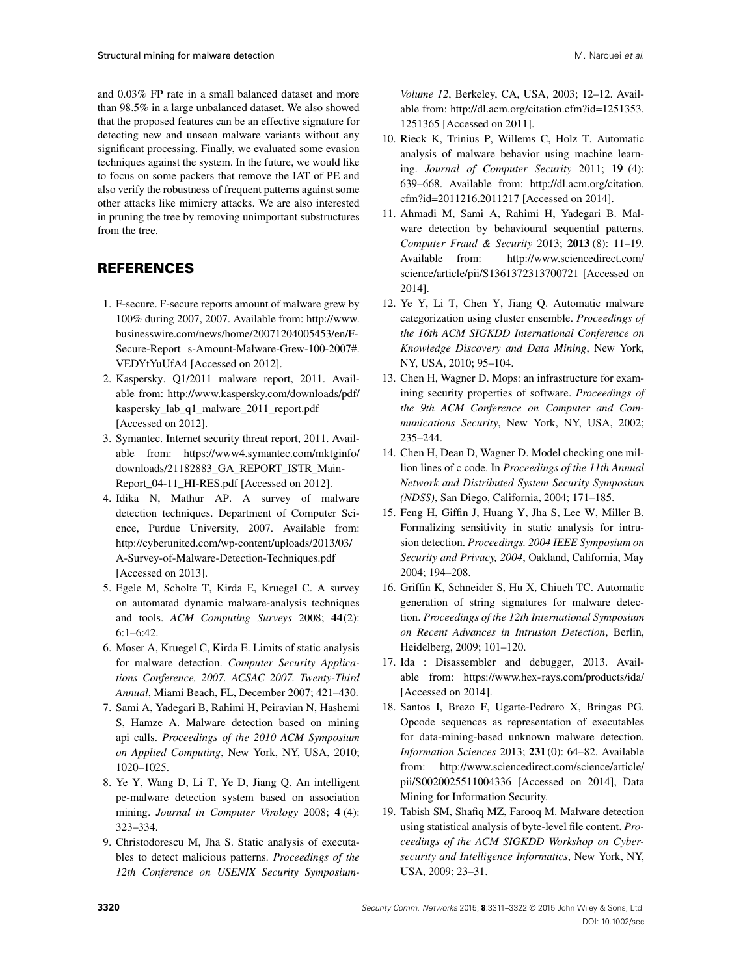and 0.03% FP rate in a small balanced dataset and more than 98.5% in a large unbalanced dataset. We also showed that the proposed features can be an effective signature for detecting new and unseen malware variants without any significant processing. Finally, we evaluated some evasion techniques against the system. In the future, we would like to focus on some packers that remove the IAT of PE and also verify the robustness of frequent patterns against some other attacks like mimicry attacks. We are also interested in pruning the tree by removing unimportant substructures from the tree.

# **REFERENCES**

- <span id="page-9-0"></span>1. F-secure. F-secure reports amount of malware grew by 100% during 2007, 2007. Available from: http://www. businesswire.com/news/home/20071204005453/en/F-Secure-Report s-Amount-Malware-Grew-100-2007#. VEDYtYuUfA4 [Accessed on 2012].
- <span id="page-9-1"></span>2. Kaspersky. Q1/2011 malware report, 2011. Available from: http://www.kaspersky.com/downloads/pdf/ kaspersky\_lab\_q1\_malware\_2011\_report.pdf [Accessed on 2012].
- <span id="page-9-2"></span>3. Symantec. Internet security threat report, 2011. Available from: https://www4.symantec.com/mktginfo/ downloads/21182883\_GA\_REPORT\_ISTR\_Main-Report\_04-11\_HI-RES.pdf [Accessed on 2012].
- <span id="page-9-3"></span>4. Idika N, Mathur AP. A survey of malware detection techniques. Department of Computer Science, Purdue University, 2007. Available from: http://cyberunited.com/wp-content/uploads/2013/03/ A-Survey-of-Malware-Detection-Techniques.pdf [Accessed on 2013].
- <span id="page-9-4"></span>5. Egele M, Scholte T, Kirda E, Kruegel C. A survey on automated dynamic malware-analysis techniques and tools. *ACM Computing Surveys* 2008; **44**(2): 6:1–6:42.
- <span id="page-9-5"></span>6. Moser A, Kruegel C, Kirda E. Limits of static analysis for malware detection. *Computer Security Applications Conference, 2007. ACSAC 2007. Twenty-Third Annual*, Miami Beach, FL, December 2007; 421–430.
- <span id="page-9-6"></span>7. Sami A, Yadegari B, Rahimi H, Peiravian N, Hashemi S, Hamze A. Malware detection based on mining api calls. *Proceedings of the 2010 ACM Symposium on Applied Computing*, New York, NY, USA, 2010; 1020–1025.
- <span id="page-9-7"></span>8. Ye Y, Wang D, Li T, Ye D, Jiang Q. An intelligent pe-malware detection system based on association mining. *Journal in Computer Virology* 2008; **4** (4): 323–334.
- <span id="page-9-8"></span>9. Christodorescu M, Jha S. Static analysis of executables to detect malicious patterns. *Proceedings of the 12th Conference on USENIX Security Symposium-*

*Volume 12*, Berkeley, CA, USA, 2003; 12–12. Available from: [http://dl.acm.org/citation.cfm?id=1251353.](http://dl.acm.org/citation.cfm?id=1251353.1251365) [1251365](http://dl.acm.org/citation.cfm?id=1251353.1251365) [Accessed on 2011].

- <span id="page-9-9"></span>10. Rieck K, Trinius P, Willems C, Holz T. Automatic analysis of malware behavior using machine learning. *Journal of Computer Security* 2011; **19** (4): 639–668. Available from: [http://dl.acm.org/citation.](http://dl.acm.org/citation.cfm?id=2011216.2011217) [cfm?id=2011216.2011217](http://dl.acm.org/citation.cfm?id=2011216.2011217) [Accessed on 2014].
- <span id="page-9-10"></span>11. Ahmadi M, Sami A, Rahimi H, Yadegari B. Malware detection by behavioural sequential patterns. *Computer Fraud & Security* 2013; **2013** (8): 11–19. Available from: http://www.sciencedirect.com/ science/article/pii/S1361372313700721 [Accessed on 2014].
- <span id="page-9-11"></span>12. Ye Y, Li T, Chen Y, Jiang Q. Automatic malware categorization using cluster ensemble. *Proceedings of the 16th ACM SIGKDD International Conference on Knowledge Discovery and Data Mining*, New York, NY, USA, 2010; 95–104.
- <span id="page-9-12"></span>13. Chen H, Wagner D. Mops: an infrastructure for examining security properties of software. *Proceedings of the 9th ACM Conference on Computer and Communications Security*, New York, NY, USA, 2002; 235–244.
- 14. Chen H, Dean D, Wagner D. Model checking one million lines of c code. In *Proceedings of the 11th Annual Network and Distributed System Security Symposium (NDSS)*, San Diego, California, 2004; 171–185.
- <span id="page-9-13"></span>15. Feng H, Giffin J, Huang Y, Jha S, Lee W, Miller B. Formalizing sensitivity in static analysis for intrusion detection. *Proceedings. 2004 IEEE Symposium on Security and Privacy, 2004*, Oakland, California, May 2004; 194–208.
- <span id="page-9-14"></span>16. Griffin K, Schneider S, Hu X, Chiueh TC. Automatic generation of string signatures for malware detection. *Proceedings of the 12th International Symposium on Recent Advances in Intrusion Detection*, Berlin, Heidelberg, 2009; 101–120.
- <span id="page-9-15"></span>17. Ida : Disassembler and debugger, 2013. Available from:<https://www.hex-rays.com/products/ida/> [Accessed on 2014].
- <span id="page-9-16"></span>18. Santos I, Brezo F, Ugarte-Pedrero X, Bringas PG. Opcode sequences as representation of executables for data-mining-based unknown malware detection. *Information Sciences* 2013; **231** (0): 64–82. Available from: http://www.sciencedirect.com/science/article/ pii/S0020025511004336 [Accessed on 2014], Data Mining for Information Security.
- <span id="page-9-17"></span>19. Tabish SM, Shafiq MZ, Farooq M. Malware detection using statistical analysis of byte-level file content. *Proceedings of the ACM SIGKDD Workshop on Cybersecurity and Intelligence Informatics*, New York, NY, USA, 2009; 23–31.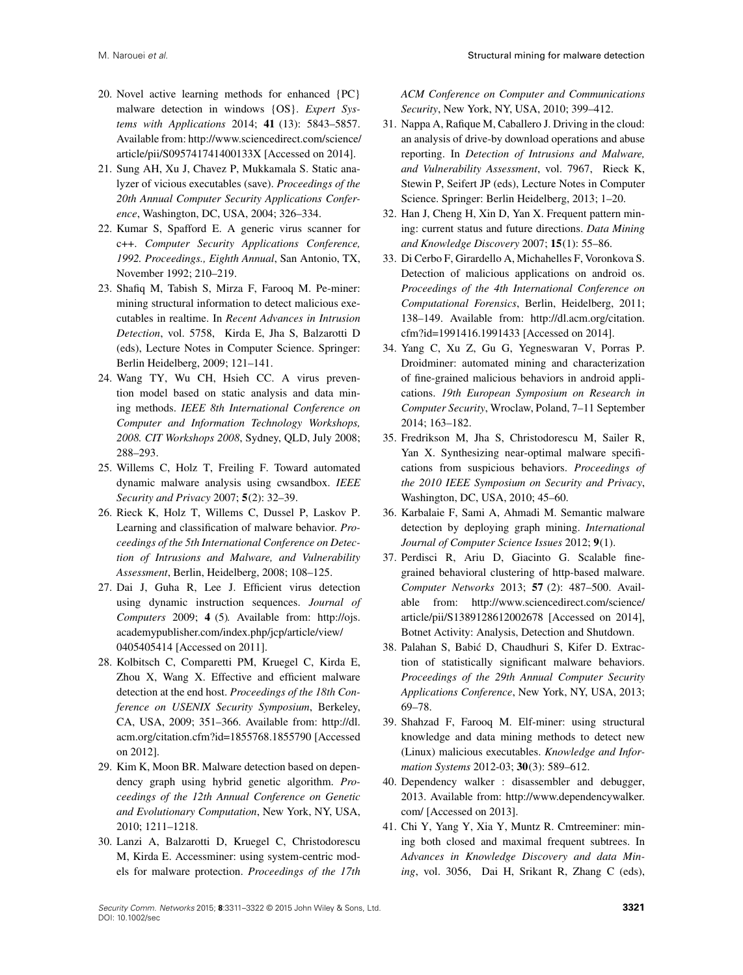- <span id="page-10-0"></span>20. Novel active learning methods for enhanced {PC} malware detection in windows {OS}. *Expert Systems with Applications* 2014; **41** (13): 5843–5857. Available from: http://www.sciencedirect.com/science/ article/pii/S095741741400133X [Accessed on 2014].
- <span id="page-10-1"></span>21. Sung AH, Xu J, Chavez P, Mukkamala S. Static analyzer of vicious executables (save). *Proceedings of the 20th Annual Computer Security Applications Conference*, Washington, DC, USA, 2004; 326–334.
- <span id="page-10-2"></span>22. Kumar S, Spafford E. A generic virus scanner for c++. *Computer Security Applications Conference, 1992. Proceedings., Eighth Annual*, San Antonio, TX, November 1992; 210–219.
- <span id="page-10-3"></span>23. Shafiq M, Tabish S, Mirza F, Farooq M. Pe-miner: mining structural information to detect malicious executables in realtime. In *Recent Advances in Intrusion Detection*, vol. 5758, Kirda E, Jha S, Balzarotti D (eds), Lecture Notes in Computer Science. Springer: Berlin Heidelberg, 2009; 121–141.
- <span id="page-10-4"></span>24. Wang TY, Wu CH, Hsieh CC. A virus prevention model based on static analysis and data mining methods. *IEEE 8th International Conference on Computer and Information Technology Workshops, 2008. CIT Workshops 2008*, Sydney, QLD, July 2008; 288–293.
- <span id="page-10-5"></span>25. Willems C, Holz T, Freiling F. Toward automated dynamic malware analysis using cwsandbox. *IEEE Security and Privacy* 2007; **5**(2): 32–39.
- <span id="page-10-6"></span>26. Rieck K, Holz T, Willems C, Dussel P, Laskov P. Learning and classification of malware behavior. *Proceedings of the 5th International Conference on Detection of Intrusions and Malware, and Vulnerability Assessment*, Berlin, Heidelberg, 2008; 108–125.
- <span id="page-10-7"></span>27. Dai J, Guha R, Lee J. Efficient virus detection using dynamic instruction sequences. *Journal of Computers* 2009; **4** (5). Available from: http://ojs. academypublisher.com/index.php/jcp/article/view/ 0405405414 [Accessed on 2011].
- <span id="page-10-8"></span>28. Kolbitsch C, Comparetti PM, Kruegel C, Kirda E, Zhou X, Wang X. Effective and efficient malware detection at the end host. *Proceedings of the 18th Conference on USENIX Security Symposium*, Berkeley, CA, USA, 2009; 351–366. Available from: [http://dl.](http://dl.acm.org/citation.cfm?id=1855768.1855790) [acm.org/citation.cfm?id=1855768.1855790](http://dl.acm.org/citation.cfm?id=1855768.1855790) [Accessed on 2012].
- <span id="page-10-9"></span>29. Kim K, Moon BR. Malware detection based on dependency graph using hybrid genetic algorithm. *Proceedings of the 12th Annual Conference on Genetic and Evolutionary Computation*, New York, NY, USA, 2010; 1211–1218.
- <span id="page-10-10"></span>30. Lanzi A, Balzarotti D, Kruegel C, Christodorescu M, Kirda E. Accessminer: using system-centric models for malware protection. *Proceedings of the 17th*

*ACM Conference on Computer and Communications Security*, New York, NY, USA, 2010; 399–412.

- <span id="page-10-11"></span>31. Nappa A, Rafique M, Caballero J. Driving in the cloud: an analysis of drive-by download operations and abuse reporting. In *Detection of Intrusions and Malware, and Vulnerability Assessment*, vol. 7967, Rieck K, Stewin P, Seifert JP (eds), Lecture Notes in Computer Science. Springer: Berlin Heidelberg, 2013; 1–20.
- <span id="page-10-19"></span>32. Han J, Cheng H, Xin D, Yan X. Frequent pattern mining: current status and future directions. *Data Mining and Knowledge Discovery* 2007; **15**(1): 55–86.
- <span id="page-10-16"></span>33. Di Cerbo F, Girardello A, Michahelles F, Voronkova S. Detection of malicious applications on android os. *Proceedings of the 4th International Conference on Computational Forensics*, Berlin, Heidelberg, 2011; 138–149. Available from: [http://dl.acm.org/citation.](http://dl.acm.org/citation.cfm?id=1991416.1991433) [cfm?id=1991416.1991433](http://dl.acm.org/citation.cfm?id=1991416.1991433) [Accessed on 2014].
- <span id="page-10-18"></span>34. Yang C, Xu Z, Gu G, Yegneswaran V, Porras P. Droidminer: automated mining and characterization of fine-grained malicious behaviors in android applications. *19th European Symposium on Research in Computer Security*, Wroclaw, Poland, 7–11 September 2014; 163–182.
- <span id="page-10-12"></span>35. Fredrikson M, Jha S, Christodorescu M, Sailer R, Yan X. Synthesizing near-optimal malware specifications from suspicious behaviors. *Proceedings of the 2010 IEEE Symposium on Security and Privacy*, Washington, DC, USA, 2010; 45–60.
- <span id="page-10-13"></span>36. Karbalaie F, Sami A, Ahmadi M. Semantic malware detection by deploying graph mining. *International Journal of Computer Science Issues* 2012; **9**(1).
- <span id="page-10-14"></span>37. Perdisci R, Ariu D, Giacinto G. Scalable finegrained behavioral clustering of http-based malware. *Computer Networks* 2013; **57** (2): 487–500. Available from: http://www.sciencedirect.com/science/ article/pii/S1389128612002678 [Accessed on 2014], Botnet Activity: Analysis, Detection and Shutdown.
- <span id="page-10-15"></span>38. Palahan S, Babic D, Chaudhuri S, Kifer D. Extrac- ´ tion of statistically significant malware behaviors. *Proceedings of the 29th Annual Computer Security Applications Conference*, New York, NY, USA, 2013; 69–78.
- <span id="page-10-17"></span>39. Shahzad F, Farooq M. Elf-miner: using structural knowledge and data mining methods to detect new (Linux) malicious executables. *Knowledge and Information Systems* 2012-03; **30**(3): 589–612.
- <span id="page-10-20"></span>40. Dependency walker : disassembler and debugger, 2013. Available from: [http://www.dependencywalker.](http://www.dependencywalker.com/) [com/](http://www.dependencywalker.com/) [Accessed on 2013].
- <span id="page-10-21"></span>41. Chi Y, Yang Y, Xia Y, Muntz R. Cmtreeminer: mining both closed and maximal frequent subtrees. In *Advances in Knowledge Discovery and data Mining*, vol. 3056, Dai H, Srikant R, Zhang C (eds),